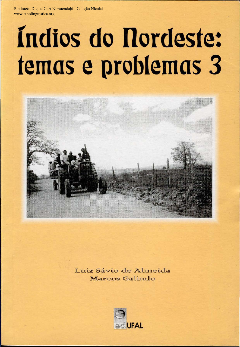Biblioteca Digital Curt Nimuendajú - Coleção Nicolai www.etnolinguistica.org

## Indios do Nordeste: temas e problemas 3



## Luiz Sávio de Almeida Marcos Galindo

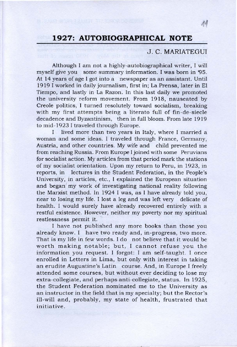## **1927: AUTOBIOGRAPHICAL NOTE**

**推 经基金 经项目经济利润 不能可能的事实的** 

e sive subsequent and construction

## J. C. MARIATEGUI

胂

I lived more than two years in Italy, where I married a woman and some ideas. 1 traveled through France, Germany, Austria, and other countries. My wife and child prevented me from reaching Russia. From Europe I joined with some Peruvians for socialist action. My articles from that period mark the stations of my socialist orientation. Upon my return to Peru, in 1923, in reports, in lectures in the Student Federation, in the People's University, in articles, etc., I explained the European situation and began my work of investigating national reality following the Marxist method. ln 1924 1 was, as I have already told you, near to losing my life. I lost a leg and was left very delicate of health. 1 would surely have already recovered entirely with a restful existence. However, neither my poverty nor my spiritual restlessness permit it.

Although I am not a highly-autobiographical writer, I will myself give you some summary information. I was born in '95. At 14 years of age 1 got into a newspaper as an assistant. Until 1919 I worked in daily journalism, first in; La Prensa, later in El Tiempo, and lastly in La Razon. In this last daily we promoted the university reform movement. From 1918, nauseated by Creole politics, I turned resolutely toward socialism, breaking with my first attempts being a literato full of fin-de-siecle decadence and Byzantinism, then in full bloom. From late 1919 to mid-1923 I traveled through Europe.

I have not published any more books than those you already know. I have two ready and, in-progress, two more. That is my life in few words. 1 do not believe that it would be worth making notable; but, I cannot refuse you the information you request. 1 forgot: I am self-taught. 1 once enrolled in Letters in Lima, but only with interest in taking an erudite Augustine's Latin course. And, in Europe 1 freely attended some courses, but without ever deciding to lose my extra-collegiate, and perhaps anti-collegiate, status. ln 1925, the Student Federation nominated me to the University as an instructor in the field that is my specialty; but the Rector's ill-will and, probably, my state of health, frustrated that initiative .